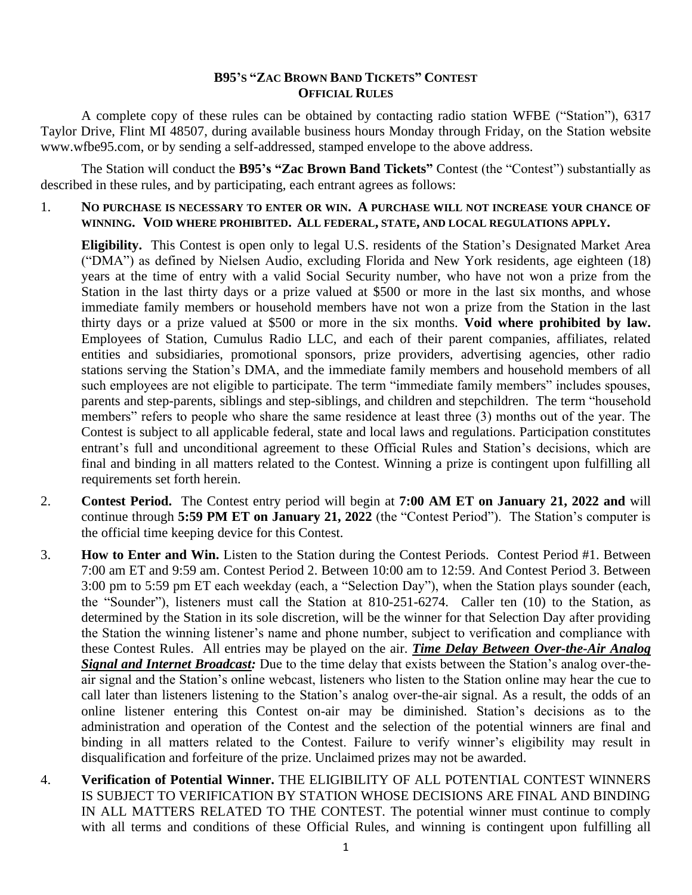### **B95'S "ZAC BROWN BAND TICKETS" CONTEST OFFICIAL RULES**

A complete copy of these rules can be obtained by contacting radio station WFBE ("Station"), 6317 Taylor Drive, Flint MI 48507, during available business hours Monday through Friday, on the Station website www.wfbe95.com, or by sending a self-addressed, stamped envelope to the above address.

The Station will conduct the **B95's "Zac Brown Band Tickets"** Contest (the "Contest") substantially as described in these rules, and by participating, each entrant agrees as follows:

1. **NO PURCHASE IS NECESSARY TO ENTER OR WIN. A PURCHASE WILL NOT INCREASE YOUR CHANCE OF WINNING. VOID WHERE PROHIBITED. ALL FEDERAL, STATE, AND LOCAL REGULATIONS APPLY.**

**Eligibility.** This Contest is open only to legal U.S. residents of the Station's Designated Market Area ("DMA") as defined by Nielsen Audio, excluding Florida and New York residents, age eighteen (18) years at the time of entry with a valid Social Security number, who have not won a prize from the Station in the last thirty days or a prize valued at \$500 or more in the last six months, and whose immediate family members or household members have not won a prize from the Station in the last thirty days or a prize valued at \$500 or more in the six months. **Void where prohibited by law.** Employees of Station, Cumulus Radio LLC, and each of their parent companies, affiliates, related entities and subsidiaries, promotional sponsors, prize providers, advertising agencies, other radio stations serving the Station's DMA, and the immediate family members and household members of all such employees are not eligible to participate. The term "immediate family members" includes spouses, parents and step-parents, siblings and step-siblings, and children and stepchildren. The term "household members" refers to people who share the same residence at least three (3) months out of the year. The Contest is subject to all applicable federal, state and local laws and regulations. Participation constitutes entrant's full and unconditional agreement to these Official Rules and Station's decisions, which are final and binding in all matters related to the Contest. Winning a prize is contingent upon fulfilling all requirements set forth herein.

- 2. **Contest Period.** The Contest entry period will begin at **7:00 AM ET on January 21, 2022 and** will continue through **5:59 PM ET on January 21, 2022** (the "Contest Period"). The Station's computer is the official time keeping device for this Contest.
- 3. **How to Enter and Win.** Listen to the Station during the Contest Periods. Contest Period #1. Between 7:00 am ET and 9:59 am. Contest Period 2. Between 10:00 am to 12:59. And Contest Period 3. Between 3:00 pm to 5:59 pm ET each weekday (each, a "Selection Day"), when the Station plays sounder (each, the "Sounder"), listeners must call the Station at 810-251-6274. Caller ten (10) to the Station, as determined by the Station in its sole discretion, will be the winner for that Selection Day after providing the Station the winning listener's name and phone number, subject to verification and compliance with these Contest Rules. All entries may be played on the air. *Time Delay Between Over-the-Air Analog Signal and Internet Broadcast:* Due to the time delay that exists between the Station's analog over-theair signal and the Station's online webcast, listeners who listen to the Station online may hear the cue to call later than listeners listening to the Station's analog over-the-air signal. As a result, the odds of an online listener entering this Contest on-air may be diminished. Station's decisions as to the administration and operation of the Contest and the selection of the potential winners are final and binding in all matters related to the Contest. Failure to verify winner's eligibility may result in disqualification and forfeiture of the prize. Unclaimed prizes may not be awarded.
- 4. **Verification of Potential Winner.** THE ELIGIBILITY OF ALL POTENTIAL CONTEST WINNERS IS SUBJECT TO VERIFICATION BY STATION WHOSE DECISIONS ARE FINAL AND BINDING IN ALL MATTERS RELATED TO THE CONTEST. The potential winner must continue to comply with all terms and conditions of these Official Rules, and winning is contingent upon fulfilling all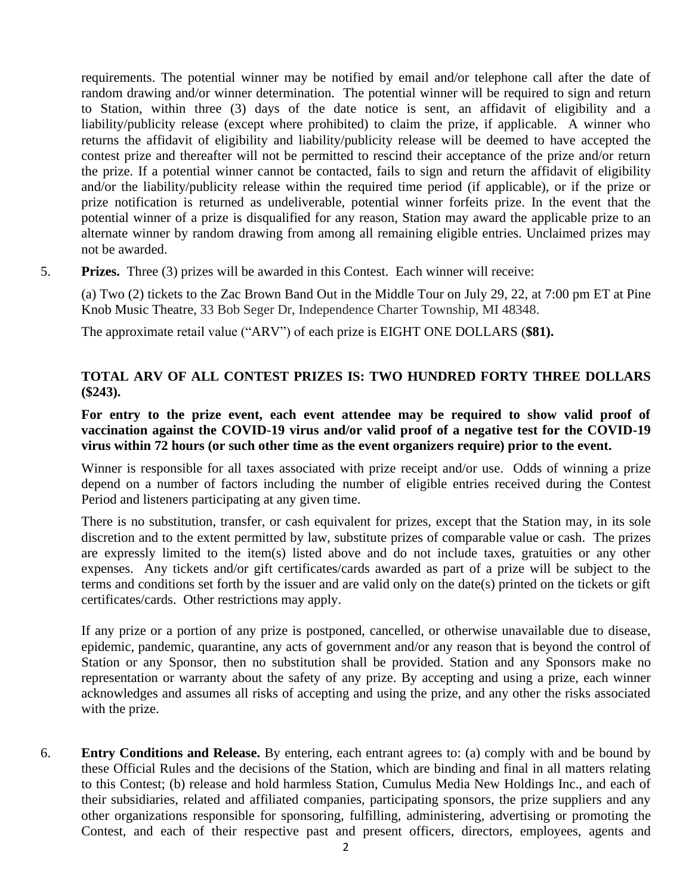requirements. The potential winner may be notified by email and/or telephone call after the date of random drawing and/or winner determination. The potential winner will be required to sign and return to Station, within three (3) days of the date notice is sent, an affidavit of eligibility and a liability/publicity release (except where prohibited) to claim the prize, if applicable. A winner who returns the affidavit of eligibility and liability/publicity release will be deemed to have accepted the contest prize and thereafter will not be permitted to rescind their acceptance of the prize and/or return the prize. If a potential winner cannot be contacted, fails to sign and return the affidavit of eligibility and/or the liability/publicity release within the required time period (if applicable), or if the prize or prize notification is returned as undeliverable, potential winner forfeits prize. In the event that the potential winner of a prize is disqualified for any reason, Station may award the applicable prize to an alternate winner by random drawing from among all remaining eligible entries. Unclaimed prizes may not be awarded.

5. **Prizes.** Three (3) prizes will be awarded in this Contest. Each winner will receive:

(a) Two (2) tickets to the Zac Brown Band Out in the Middle Tour on July 29, 22, at 7:00 pm ET at Pine Knob Music Theatre, 33 Bob Seger Dr, Independence Charter Township, MI 48348.

The approximate retail value ("ARV") of each prize is EIGHT ONE DOLLARS (**\$81).** 

# **TOTAL ARV OF ALL CONTEST PRIZES IS: TWO HUNDRED FORTY THREE DOLLARS (\$243).**

### **For entry to the prize event, each event attendee may be required to show valid proof of vaccination against the COVID-19 virus and/or valid proof of a negative test for the COVID-19 virus within 72 hours (or such other time as the event organizers require) prior to the event.**

Winner is responsible for all taxes associated with prize receipt and/or use. Odds of winning a prize depend on a number of factors including the number of eligible entries received during the Contest Period and listeners participating at any given time.

There is no substitution, transfer, or cash equivalent for prizes, except that the Station may, in its sole discretion and to the extent permitted by law, substitute prizes of comparable value or cash. The prizes are expressly limited to the item(s) listed above and do not include taxes, gratuities or any other expenses. Any tickets and/or gift certificates/cards awarded as part of a prize will be subject to the terms and conditions set forth by the issuer and are valid only on the date(s) printed on the tickets or gift certificates/cards. Other restrictions may apply.

If any prize or a portion of any prize is postponed, cancelled, or otherwise unavailable due to disease, epidemic, pandemic, quarantine, any acts of government and/or any reason that is beyond the control of Station or any Sponsor, then no substitution shall be provided. Station and any Sponsors make no representation or warranty about the safety of any prize. By accepting and using a prize, each winner acknowledges and assumes all risks of accepting and using the prize, and any other the risks associated with the prize.

6. **Entry Conditions and Release.** By entering, each entrant agrees to: (a) comply with and be bound by these Official Rules and the decisions of the Station, which are binding and final in all matters relating to this Contest; (b) release and hold harmless Station, Cumulus Media New Holdings Inc., and each of their subsidiaries, related and affiliated companies, participating sponsors, the prize suppliers and any other organizations responsible for sponsoring, fulfilling, administering, advertising or promoting the Contest, and each of their respective past and present officers, directors, employees, agents and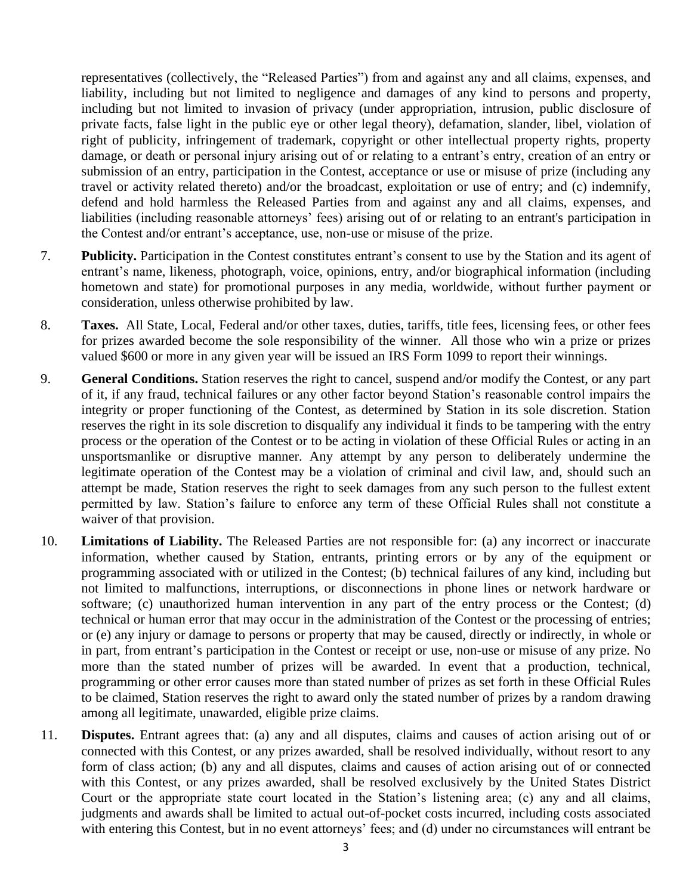representatives (collectively, the "Released Parties") from and against any and all claims, expenses, and liability, including but not limited to negligence and damages of any kind to persons and property, including but not limited to invasion of privacy (under appropriation, intrusion, public disclosure of private facts, false light in the public eye or other legal theory), defamation, slander, libel, violation of right of publicity, infringement of trademark, copyright or other intellectual property rights, property damage, or death or personal injury arising out of or relating to a entrant's entry, creation of an entry or submission of an entry, participation in the Contest, acceptance or use or misuse of prize (including any travel or activity related thereto) and/or the broadcast, exploitation or use of entry; and (c) indemnify, defend and hold harmless the Released Parties from and against any and all claims, expenses, and liabilities (including reasonable attorneys' fees) arising out of or relating to an entrant's participation in the Contest and/or entrant's acceptance, use, non-use or misuse of the prize.

- 7. **Publicity.** Participation in the Contest constitutes entrant's consent to use by the Station and its agent of entrant's name, likeness, photograph, voice, opinions, entry, and/or biographical information (including hometown and state) for promotional purposes in any media, worldwide, without further payment or consideration, unless otherwise prohibited by law.
- 8. **Taxes.** All State, Local, Federal and/or other taxes, duties, tariffs, title fees, licensing fees, or other fees for prizes awarded become the sole responsibility of the winner. All those who win a prize or prizes valued \$600 or more in any given year will be issued an IRS Form 1099 to report their winnings.
- 9. **General Conditions.** Station reserves the right to cancel, suspend and/or modify the Contest, or any part of it, if any fraud, technical failures or any other factor beyond Station's reasonable control impairs the integrity or proper functioning of the Contest, as determined by Station in its sole discretion. Station reserves the right in its sole discretion to disqualify any individual it finds to be tampering with the entry process or the operation of the Contest or to be acting in violation of these Official Rules or acting in an unsportsmanlike or disruptive manner. Any attempt by any person to deliberately undermine the legitimate operation of the Contest may be a violation of criminal and civil law, and, should such an attempt be made, Station reserves the right to seek damages from any such person to the fullest extent permitted by law. Station's failure to enforce any term of these Official Rules shall not constitute a waiver of that provision.
- 10. **Limitations of Liability.** The Released Parties are not responsible for: (a) any incorrect or inaccurate information, whether caused by Station, entrants, printing errors or by any of the equipment or programming associated with or utilized in the Contest; (b) technical failures of any kind, including but not limited to malfunctions, interruptions, or disconnections in phone lines or network hardware or software; (c) unauthorized human intervention in any part of the entry process or the Contest; (d) technical or human error that may occur in the administration of the Contest or the processing of entries; or (e) any injury or damage to persons or property that may be caused, directly or indirectly, in whole or in part, from entrant's participation in the Contest or receipt or use, non-use or misuse of any prize. No more than the stated number of prizes will be awarded. In event that a production, technical, programming or other error causes more than stated number of prizes as set forth in these Official Rules to be claimed, Station reserves the right to award only the stated number of prizes by a random drawing among all legitimate, unawarded, eligible prize claims.
- 11. **Disputes.** Entrant agrees that: (a) any and all disputes, claims and causes of action arising out of or connected with this Contest, or any prizes awarded, shall be resolved individually, without resort to any form of class action; (b) any and all disputes, claims and causes of action arising out of or connected with this Contest, or any prizes awarded, shall be resolved exclusively by the United States District Court or the appropriate state court located in the Station's listening area; (c) any and all claims, judgments and awards shall be limited to actual out-of-pocket costs incurred, including costs associated with entering this Contest, but in no event attorneys' fees; and (d) under no circumstances will entrant be